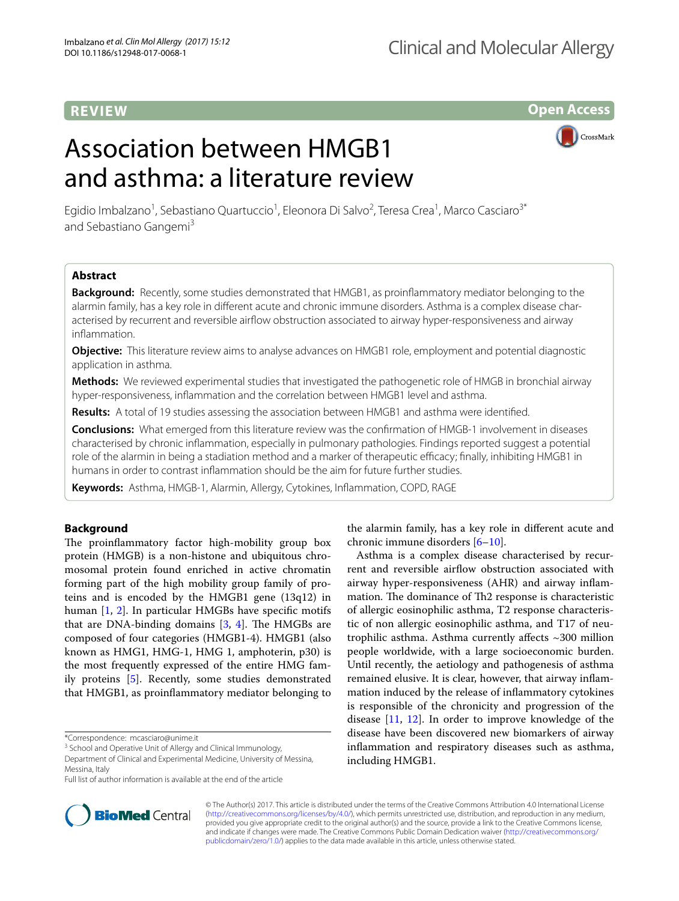# **REVIEW**

**Open Access**

# Association between HMGB1 and asthma: a literature review



Egidio Imbalzano<sup>1</sup>, Sebastiano Quartuccio<sup>1</sup>, Eleonora Di Salvo<sup>2</sup>, Teresa Crea<sup>1</sup>, Marco Casciaro<sup>3\*</sup> and Sebastiano Gangemi<sup>3</sup>

# **Abstract**

**Background:** Recently, some studies demonstrated that HMGB1, as proinfammatory mediator belonging to the alarmin family, has a key role in diferent acute and chronic immune disorders. Asthma is a complex disease characterised by recurrent and reversible airfow obstruction associated to airway hyper-responsiveness and airway infammation.

**Objective:** This literature review aims to analyse advances on HMGB1 role, employment and potential diagnostic application in asthma.

**Methods:** We reviewed experimental studies that investigated the pathogenetic role of HMGB in bronchial airway hyper-responsiveness, infammation and the correlation between HMGB1 level and asthma.

**Results:** A total of 19 studies assessing the association between HMGB1 and asthma were identifed.

**Conclusions:** What emerged from this literature review was the confrmation of HMGB-1 involvement in diseases characterised by chronic infammation, especially in pulmonary pathologies. Findings reported suggest a potential role of the alarmin in being a stadiation method and a marker of therapeutic efficacy; finally, inhibiting HMGB1 in humans in order to contrast infammation should be the aim for future further studies.

**Keywords:** Asthma, HMGB-1, Alarmin, Allergy, Cytokines, Infammation, COPD, RAGE

# **Background**

The proinflammatory factor high-mobility group box protein (HMGB) is a non-histone and ubiquitous chromosomal protein found enriched in active chromatin forming part of the high mobility group family of proteins and is encoded by the HMGB1 gene (13q12) in human [[1,](#page-7-0) [2](#page-7-1)]. In particular HMGBs have specifc motifs that are DNA-binding domains  $[3, 4]$  $[3, 4]$  $[3, 4]$  $[3, 4]$ . The HMGBs are composed of four categories (HMGB1-4). HMGB1 (also known as HMG1, HMG-1, HMG 1, amphoterin, p30) is the most frequently expressed of the entire HMG family proteins [\[5](#page-7-4)]. Recently, some studies demonstrated that HMGB1, as proinfammatory mediator belonging to

\*Correspondence: mcasciaro@unime.it

<sup>3</sup> School and Operative Unit of Allergy and Clinical Immunology,

Full list of author information is available at the end of the article



the alarmin family, has a key role in diferent acute and chronic immune disorders [\[6](#page-7-5)[–10\]](#page-7-6).

Asthma is a complex disease characterised by recurrent and reversible airflow obstruction associated with airway hyper-responsiveness (AHR) and airway infam‑ mation. The dominance of Th2 response is characteristic of allergic eosinophilic asthma, T2 response characteristic of non allergic eosinophilic asthma, and T17 of neutrophilic asthma. Asthma currently affects  $\sim$ 300 million people worldwide, with a large socioeconomic burden. Until recently, the aetiology and pathogenesis of asthma remained elusive. It is clear, however, that airway inflammation induced by the release of infammatory cytokines is responsible of the chronicity and progression of the disease [\[11,](#page-7-7) [12\]](#page-8-0). In order to improve knowledge of the disease have been discovered new biomarkers of airway infammation and respiratory diseases such as asthma, including HMGB1.

© The Author(s) 2017. This article is distributed under the terms of the Creative Commons Attribution 4.0 International License [\(http://creativecommons.org/licenses/by/4.0/\)](http://creativecommons.org/licenses/by/4.0/), which permits unrestricted use, distribution, and reproduction in any medium, provided you give appropriate credit to the original author(s) and the source, provide a link to the Creative Commons license, and indicate if changes were made. The Creative Commons Public Domain Dedication waiver ([http://creativecommons.org/](http://creativecommons.org/publicdomain/zero/1.0/) [publicdomain/zero/1.0/](http://creativecommons.org/publicdomain/zero/1.0/)) applies to the data made available in this article, unless otherwise stated.

Department of Clinical and Experimental Medicine, University of Messina, Messina, Italy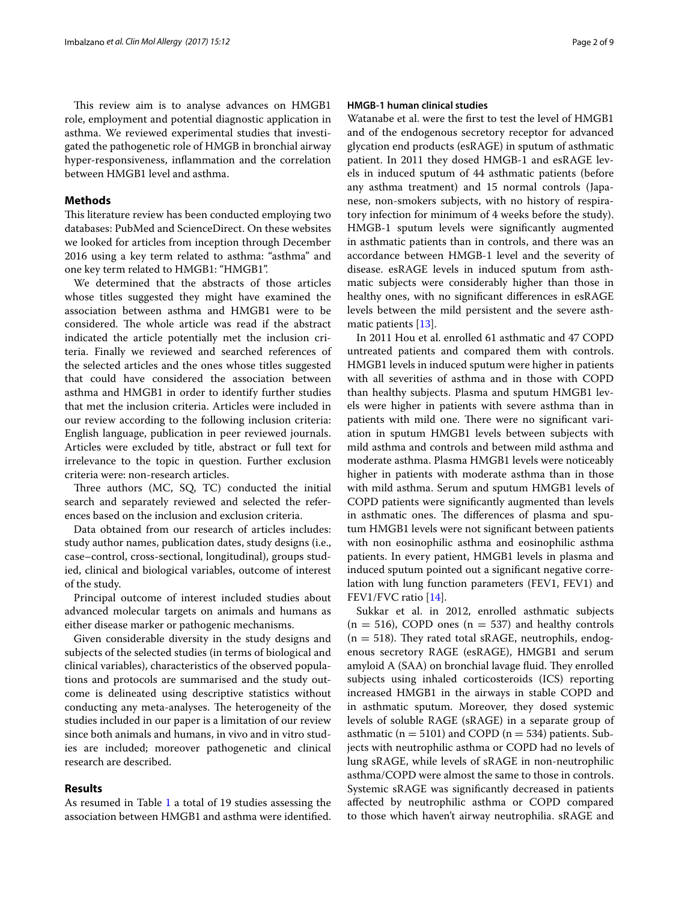This review aim is to analyse advances on HMGB1 role, employment and potential diagnostic application in asthma. We reviewed experimental studies that investigated the pathogenetic role of HMGB in bronchial airway hyper-responsiveness, infammation and the correlation between HMGB1 level and asthma.

# **Methods**

This literature review has been conducted employing two databases: PubMed and ScienceDirect. On these websites we looked for articles from inception through December 2016 using a key term related to asthma: "asthma" and one key term related to HMGB1: "HMGB1".

We determined that the abstracts of those articles whose titles suggested they might have examined the association between asthma and HMGB1 were to be considered. The whole article was read if the abstract indicated the article potentially met the inclusion criteria. Finally we reviewed and searched references of the selected articles and the ones whose titles suggested that could have considered the association between asthma and HMGB1 in order to identify further studies that met the inclusion criteria. Articles were included in our review according to the following inclusion criteria: English language, publication in peer reviewed journals. Articles were excluded by title, abstract or full text for irrelevance to the topic in question. Further exclusion criteria were: non-research articles.

Three authors (MC, SQ, TC) conducted the initial search and separately reviewed and selected the references based on the inclusion and exclusion criteria.

Data obtained from our research of articles includes: study author names, publication dates, study designs (i.e., case-control, cross-sectional, longitudinal), groups studied, clinical and biological variables, outcome of interest of the study.

Principal outcome of interest included studies about advanced molecular targets on animals and humans as either disease marker or pathogenic mechanisms.

Given considerable diversity in the study designs and subjects of the selected studies (in terms of biological and clinical variables), characteristics of the observed popula‑ tions and protocols are summarised and the study outcome is delineated using descriptive statistics without conducting any meta-analyses. The heterogeneity of the studies included in our paper is a limitation of our review since both animals and humans, in vivo and in vitro studies are included; moreover pathogenetic and clinical research are described.

## **Results**

As resumed in Table [1](#page-2-0) a total of 19 studies assessing the association between HMGB1 and asthma were identifed.

# **HMGB‑1 human clinical studies**

Watanabe et al. were the frst to test the level of HMGB1 and of the endogenous secretory receptor for advanced glycation end products (esRAGE) in sputum of asthmatic patient. In 2011 they dosed HMGB-1 and esRAGE levels in induced sputum of 44 asthmatic patients (before any asthma treatment) and 15 normal controls (Japanese, non-smokers subjects, with no history of respiratory infection for minimum of 4 weeks before the study). HMGB-1 sputum levels were signifcantly augmented in asthmatic patients than in controls, and there was an accordance between HMGB-1 level and the severity of disease. esRAGE levels in induced sputum from asthmatic subjects were considerably higher than those in healthy ones, with no signifcant diferences in esRAGE levels between the mild persistent and the severe asthmatic patients [\[13\]](#page-8-1).

In 2011 Hou et al. enrolled 61 asthmatic and 47 COPD untreated patients and compared them with controls. HMGB1 levels in induced sputum were higher in patients with all severities of asthma and in those with COPD than healthy subjects. Plasma and sputum HMGB1 levels were higher in patients with severe asthma than in patients with mild one. There were no significant variation in sputum HMGB1 levels between subjects with mild asthma and controls and between mild asthma and moderate asthma. Plasma HMGB1 levels were noticeably higher in patients with moderate asthma than in those with mild asthma. Serum and sputum HMGB1 levels of COPD patients were signifcantly augmented than levels in asthmatic ones. The differences of plasma and sputum HMGB1 levels were not signifcant between patients with non eosinophilic asthma and eosinophilic asthma patients. In every patient, HMGB1 levels in plasma and induced sputum pointed out a significant negative correlation with lung function parameters (FEV1, FEV1) and FEV1/FVC ratio [[14\]](#page-8-2).

Sukkar et al. in 2012, enrolled asthmatic subjects  $(n = 516)$ , COPD ones  $(n = 537)$  and healthy controls  $(n = 518)$ . They rated total sRAGE, neutrophils, endogenous secretory RAGE (esRAGE), HMGB1 and serum amyloid A (SAA) on bronchial lavage fluid. They enrolled subjects using inhaled corticosteroids (ICS) reporting increased HMGB1 in the airways in stable COPD and in asthmatic sputum. Moreover, they dosed systemic levels of soluble RAGE (sRAGE) in a separate group of asthmatic ( $n = 5101$ ) and COPD ( $n = 534$ ) patients. Subjects with neutrophilic asthma or COPD had no levels of lung sRAGE, while levels of sRAGE in non-neutrophilic asthma/COPD were almost the same to those in controls. Systemic sRAGE was signifcantly decreased in patients afected by neutrophilic asthma or COPD compared to those which haven't airway neutrophilia. sRAGE and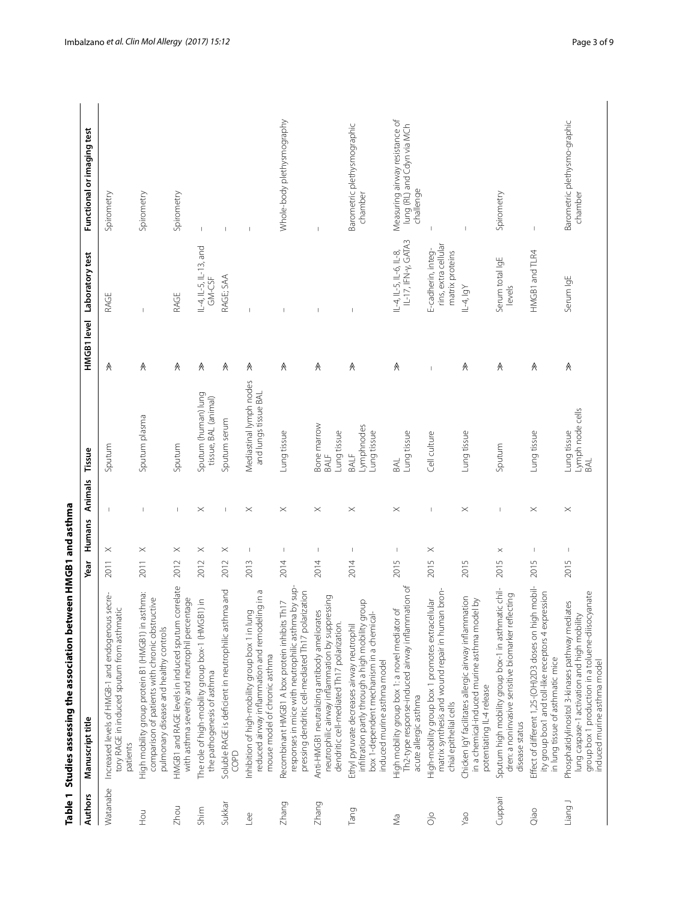|                | Table 1 Studies assessing the association between HMGB1 and asthma                                                                                                                |                                  |                          |                                                 |             |                                                               |                                                                           |
|----------------|-----------------------------------------------------------------------------------------------------------------------------------------------------------------------------------|----------------------------------|--------------------------|-------------------------------------------------|-------------|---------------------------------------------------------------|---------------------------------------------------------------------------|
| <b>Authors</b> | Manuscript title                                                                                                                                                                  | Year                             | Animals<br>Humans        | Tissue                                          | HMGB1 level | Laboratory test                                               | Functional or imaging test                                                |
| Watanabe       | Increased levels of HMGB-1 and endogenous secre-<br>tory RAGE in induced sputum from asthmatic<br>patients                                                                        | $\times$<br>2011                 |                          | Sputum                                          | Λ           | RAGE                                                          | Spirometry                                                                |
| <b>UCH</b>     | High mobility group protein B1 (HMGB1) in asthma:<br>comparison of patients with chronic obstructive<br>pulmonary disease and healthy controls                                    | $\times$<br>2011                 |                          | Sputum plasma                                   | ∧           |                                                               | Spirometry                                                                |
| Zhou           | HMGB1 and RAGE levels in induced sputum correlate<br>with asthma severity and neutrophil percentage                                                                               | $\times$<br>2012                 | I                        | Sputum                                          | ∧           | RAGE                                                          | Spirometry                                                                |
| Shim           | The role of high-mobility group box-1 (HMGB1) in<br>the pathogenesis of asthma                                                                                                    | $\times$<br>2012                 | $\times$                 | Sputum (human) lung<br>tissue, BAL (animal)     | ∧           | IL-4, IL-5, IL-13, and<br>GM-CSF                              | $\overline{\phantom{a}}$                                                  |
| Sukkar         | ha and<br>Soluble RAGE is deficient in neutrophilic asthm<br>SOPD                                                                                                                 | $\times$<br>2012                 |                          | Sputum serum                                    | Α           | RAGE; SAA                                                     |                                                                           |
| Lee            | reduced airway inflammation and remodeling in a<br>Inhibition of high-mobility group box 1 in lung<br>mouse model of chronic asthma                                               | $\mathsf I$<br>2013              | $\times$                 | Mediastinal lymph nodes<br>and lungs tissue BAL | ∧           |                                                               | $\overline{1}$                                                            |
| Zhang          | responses in mice with neutrophilic asthma by sup-<br>pressing dendritic cell-mediated Th17 polarization<br>Recombinant HMGB1 A box protein inhibits Th17                         | 2014                             | $\times$                 | Lung tissue                                     | $\wedge$    |                                                               | Whole-body plethysmography                                                |
| Zhang          | neutrophilic airway inflammation by suppressing<br>Anti-HMGB1 neutralizing antibody ameliorates<br>dendritic cell-mediated Th17 polarization.                                     | I<br>2014                        | $\times$                 | Bone marrow<br>Lung tissue<br>BALF              | λ           |                                                               |                                                                           |
| Tang           | infiltration partly through a high mobility group<br>box 1-dependent mechanism in a chemical-<br>Ethyl pyruvate decreases airway neutrophil<br>induced murine asthma model        | 2014                             | $\times$                 | Lymphnodes<br>Lung tissue<br>BALF               | ∧           |                                                               | Barometric plethysmographic<br>chamber                                    |
| ΣÑ             | Th2-type response-induced airway inflammation of<br>High mobility group box 1: a novel mediator of<br>acute allergic asthma                                                       | 2015                             | $\times$                 | Lung tissue<br>BAL                              | Λ           | IL-17, IFN-y, GATA3<br>$IL-4, IL-5, IL-6, IL-8,$              | Measuring airway resistance of<br>lung (RL) and Cdyn via MCh<br>challenge |
| öjo            | matrix synthesis and wound repair in human bron-<br>High-mobility group box 1 promotes extracellular<br>chial epithelial cells                                                    | $\times$<br>2015                 | $\overline{\phantom{a}}$ | Cell culture                                    |             | rins, extra cellular<br>E-cadherin, integ-<br>matrix proteins |                                                                           |
| VãO            | Chicken IgY facilitates allergic airway inflammation<br>in a chemical-induced murine asthma model by<br>potentiating IL-4 release                                                 | 2015                             | $\times$                 | Lung tissue                                     | ∧           | IL-4, IgY                                                     |                                                                           |
| Cuppari        | Sputum high mobility group box-1 in asthmatic chil-<br>dren: a noninvasive sensitive biomarker reflecting<br>disease status                                                       | $\times$<br>2015                 | $\overline{\phantom{a}}$ | Sputum                                          | ∧           | Serum total IgE<br>levels                                     | Spirometry                                                                |
| Oiao           | Effect of different 1,25-(OH)2D3 doses on high mobil-<br>ity group box1 and toll-like receptors 4 expression<br>in lung tissue of asthmatic mice                                  | $\overline{\phantom{a}}$<br>2015 | $\times$                 | Lung tissue                                     | ∧           | HMGB1 and TLR4                                                | $\begin{array}{c} \end{array}$                                            |
| Liang J        | group box 1 production in a toluene-diisocyanate<br>Phosphatidylinositol 3-kinases pathway mediates<br>lung caspase-1 activation and high mobility<br>induced murine asthma model | 2015                             | $\times$                 | Lymph node cells<br>Lung tissue<br>BAL          | ∧           | Serum IgE                                                     | Barometric plethysmo-graphic<br>chamber                                   |

# <span id="page-2-0"></span>Table 1 Studies assessing the association between HMGB1 and asthma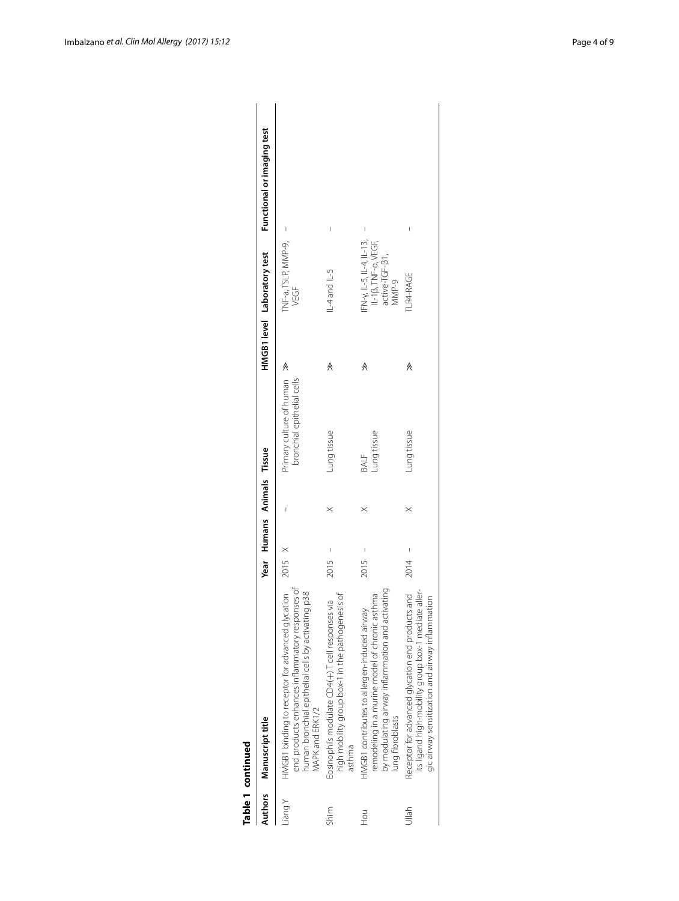|               | Table 1 continued                                                                                                                                                            |        |                            |          |                                                        |   |                                                                                      |                            |
|---------------|------------------------------------------------------------------------------------------------------------------------------------------------------------------------------|--------|----------------------------|----------|--------------------------------------------------------|---|--------------------------------------------------------------------------------------|----------------------------|
|               | Authors Manuscript title                                                                                                                                                     |        | Year Humans Animals Tissue |          |                                                        |   | HMGB1 level Laboratory test                                                          | Functional or imaging test |
| <i>Y</i> puei | HMGB1 binding to receptor for advanced glycation<br>end products enhances inflammatory responses of<br>human bronchial epithelial cells by activating p38<br>VAPK and ERK1/2 | 2015 X |                            |          | Primary culture of human<br>bronchial epithelial cells |   | TNF-a, TSLP, MMP-9,<br>VEGF                                                          | I                          |
| Shim          | high mobility group box-1 in the pathogenesis of<br>Eosinophils modulate CD4(+)T cell responses via<br>asthma                                                                | 2015   |                            | $\times$ | Lung tissue                                            |   | IL-4 and IL-5                                                                        | I                          |
| <b>PoH</b>    | by modulating airway inflammation and activating<br>remodeling in a murine model of chronic asthma<br>HMGB1 contributes to allergen-induced airway<br>lung fibroblasts       | 2015   |                            | $\times$ | Lung tissue<br>BALF                                    | ∧ | $FN - Y, 11 - 5, 11 - 4, 11 - 13,$<br>IL-18, TNF-a, VEGF,<br>active-TGF-B1,<br>MMP-9 |                            |
| Jlah          | Receptor for advanced glycation end products and<br>its ligand high-mobility group box-1 mediate aller-<br>gic airway sensitization and airway inflammation                  | 2014   |                            | $\times$ | Lung tissue                                            | ∧ | <b>LR4-RAGE</b>                                                                      |                            |
|               |                                                                                                                                                                              |        |                            |          |                                                        |   |                                                                                      |                            |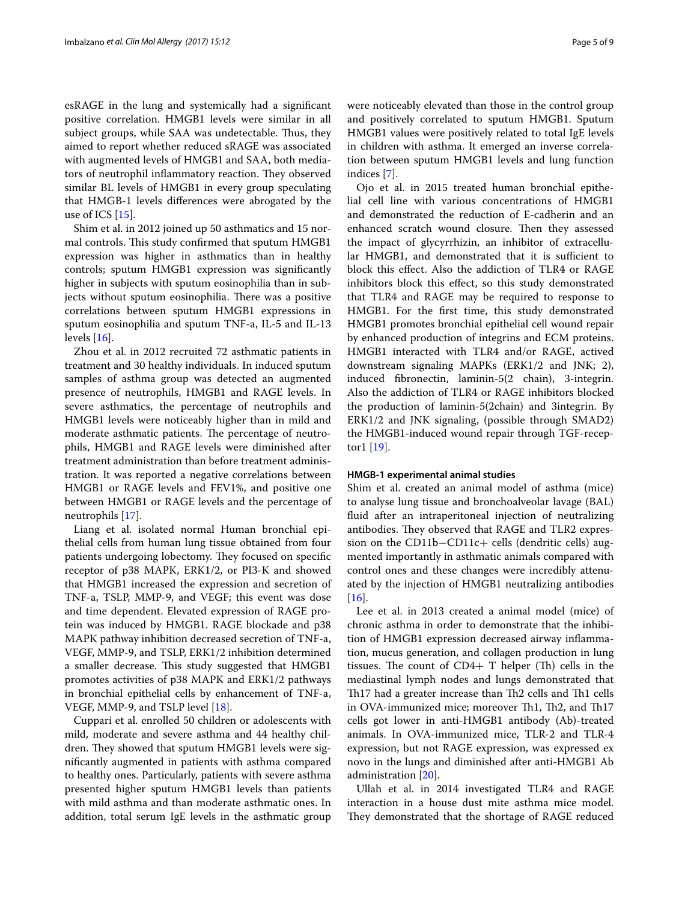esRAGE in the lung and systemically had a signifcant positive correlation. HMGB1 levels were similar in all subject groups, while SAA was undetectable. Thus, they aimed to report whether reduced sRAGE was associated with augmented levels of HMGB1 and SAA, both mediators of neutrophil inflammatory reaction. They observed similar BL levels of HMGB1 in every group speculating that HMGB-1 levels diferences were abrogated by the use of ICS [[15\]](#page-8-3).

Shim et al. in 2012 joined up 50 asthmatics and 15 normal controls. This study confirmed that sputum HMGB1 expression was higher in asthmatics than in healthy controls; sputum HMGB1 expression was signifcantly higher in subjects with sputum eosinophilia than in subjects without sputum eosinophilia. There was a positive correlations between sputum HMGB1 expressions in sputum eosinophilia and sputum TNF-a, IL-5 and IL-13 levels  $[16]$  $[16]$ .

Zhou et al. in 2012 recruited 72 asthmatic patients in treatment and 30 healthy individuals. In induced sputum samples of asthma group was detected an augmented presence of neutrophils, HMGB1 and RAGE levels. In severe asthmatics, the percentage of neutrophils and HMGB1 levels were noticeably higher than in mild and moderate asthmatic patients. The percentage of neutrophils, HMGB1 and RAGE levels were diminished after treatment administration than before treatment adminis‑ tration. It was reported a negative correlations between HMGB1 or RAGE levels and FEV1%, and positive one between HMGB1 or RAGE levels and the percentage of neutrophils [\[17](#page-8-5)].

Liang et al. isolated normal Human bronchial epithelial cells from human lung tissue obtained from four patients undergoing lobectomy. They focused on specific receptor of p38 MAPK, ERK1/2, or PI3-K and showed that HMGB1 increased the expression and secretion of TNF-a, TSLP, MMP-9, and VEGF; this event was dose and time dependent. Elevated expression of RAGE protein was induced by HMGB1. RAGE blockade and p38 MAPK pathway inhibition decreased secretion of TNF-a, VEGF, MMP-9, and TSLP, ERK1/2 inhibition determined a smaller decrease. This study suggested that HMGB1 promotes activities of p38 MAPK and ERK1/2 pathways in bronchial epithelial cells by enhancement of TNF-a, VEGF, MMP-9, and TSLP level [[18](#page-8-6)].

Cuppari et al. enrolled 50 children or adolescents with mild, moderate and severe asthma and 44 healthy children. They showed that sputum HMGB1 levels were signifcantly augmented in patients with asthma compared to healthy ones. Particularly, patients with severe asthma presented higher sputum HMGB1 levels than patients with mild asthma and than moderate asthmatic ones. In addition, total serum IgE levels in the asthmatic group were noticeably elevated than those in the control group and positively correlated to sputum HMGB1. Sputum HMGB1 values were positively related to total IgE levels in children with asthma. It emerged an inverse correlation between sputum HMGB1 levels and lung function indices [[7\]](#page-7-8).

Ojo et al. in 2015 treated human bronchial epithelial cell line with various concentrations of HMGB1 and demonstrated the reduction of E-cadherin and an enhanced scratch wound closure. Then they assessed the impact of glycyrrhizin, an inhibitor of extracellular HMGB1, and demonstrated that it is sufficient to block this efect. Also the addiction of TLR4 or RAGE inhibitors block this efect, so this study demonstrated that TLR4 and RAGE may be required to response to HMGB1. For the frst time, this study demonstrated HMGB1 promotes bronchial epithelial cell wound repair by enhanced production of integrins and ECM proteins. HMGB1 interacted with TLR4 and/or RAGE, actived downstream signaling MAPKs (ERK1/2 and JNK; 2), induced fbronectin, laminin-5(2 chain), 3-integrin. Also the addiction of TLR4 or RAGE inhibitors blocked the production of laminin-5(2chain) and 3integrin. By ERK1/2 and JNK signaling, (possible through SMAD2) the HMGB1-induced wound repair through TGF-receptor1 [\[19](#page-8-7)].

### **HMGB‑1 experimental animal studies**

Shim et al. created an animal model of asthma (mice) to analyse lung tissue and bronchoalveolar lavage (BAL) fuid after an intraperitoneal injection of neutralizing antibodies. They observed that RAGE and TLR2 expression on the CD11b–CD11c+ cells (dendritic cells) augmented importantly in asthmatic animals compared with control ones and these changes were incredibly attenuated by the injection of HMGB1 neutralizing antibodies  $[16]$  $[16]$ .

Lee et al. in 2013 created a animal model (mice) of chronic asthma in order to demonstrate that the inhibition of HMGB1 expression decreased airway inflammation, mucus generation, and collagen production in lung tissues. The count of  $CD4+T$  helper (Th) cells in the mediastinal lymph nodes and lungs demonstrated that Th<sub>17</sub> had a greater increase than Th<sub>2</sub> cells and Th<sub>1</sub> cells in OVA-immunized mice; moreover Th1, Th2, and Th17 cells got lower in anti-HMGB1 antibody (Ab)-treated animals. In OVA-immunized mice, TLR-2 and TLR-4 expression, but not RAGE expression, was expressed ex novo in the lungs and diminished after anti-HMGB1 Ab administration [[20](#page-8-8)].

Ullah et al. in 2014 investigated TLR4 and RAGE interaction in a house dust mite asthma mice model. They demonstrated that the shortage of RAGE reduced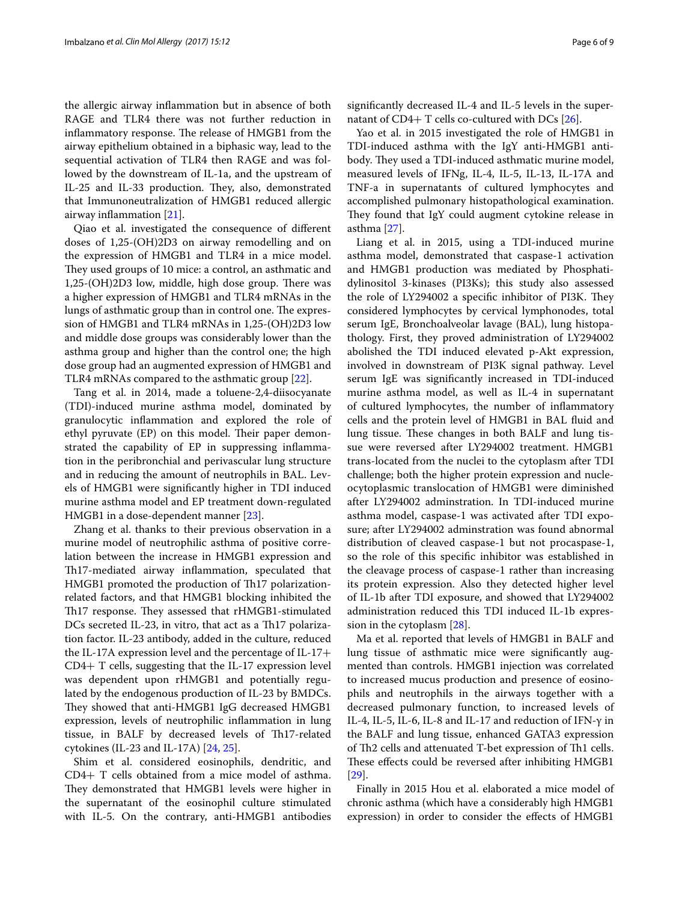the allergic airway infammation but in absence of both RAGE and TLR4 there was not further reduction in inflammatory response. The release of HMGB1 from the airway epithelium obtained in a biphasic way, lead to the sequential activation of TLR4 then RAGE and was followed by the downstream of IL-1a, and the upstream of IL-25 and IL-33 production. They, also, demonstrated that Immunoneutralization of HMGB1 reduced allergic airway infammation [[21\]](#page-8-9).

Qiao et al. investigated the consequence of diferent doses of 1,25-(OH)2D3 on airway remodelling and on the expression of HMGB1 and TLR4 in a mice model. They used groups of 10 mice: a control, an asthmatic and  $1,25-(OH)2D3$  low, middle, high dose group. There was a higher expression of HMGB1 and TLR4 mRNAs in the lungs of asthmatic group than in control one. The expression of HMGB1 and TLR4 mRNAs in 1,25-(OH)2D3 low and middle dose groups was considerably lower than the asthma group and higher than the control one; the high dose group had an augmented expression of HMGB1 and TLR4 mRNAs compared to the asthmatic group [\[22](#page-8-10)].

Tang et al. in 2014, made a toluene-2,4-diisocyanate (TDI)-induced murine asthma model, dominated by granulocytic infammation and explored the role of ethyl pyruvate (EP) on this model. Their paper demonstrated the capability of EP in suppressing inflammation in the peribronchial and perivascular lung structure and in reducing the amount of neutrophils in BAL. Levels of HMGB1 were signifcantly higher in TDI induced murine asthma model and EP treatment down-regulated HMGB1 in a dose-dependent manner [\[23](#page-8-11)].

Zhang et al. thanks to their previous observation in a murine model of neutrophilic asthma of positive correlation between the increase in HMGB1 expression and Th17-mediated airway inflammation, speculated that HMGB1 promoted the production of Th17 polarizationrelated factors, and that HMGB1 blocking inhibited the Th<sub>17</sub> response. They assessed that rHMGB1-stimulated DCs secreted IL-23, in vitro, that act as a Th17 polarization factor. IL-23 antibody, added in the culture, reduced the IL-17A expression level and the percentage of IL-17+ CD4+ T cells, suggesting that the IL-17 expression level was dependent upon rHMGB1 and potentially regulated by the endogenous production of IL-23 by BMDCs. They showed that anti-HMGB1 IgG decreased HMGB1 expression, levels of neutrophilic infammation in lung tissue, in BALF by decreased levels of Th17-related cytokines (IL-23 and IL-17A) [\[24](#page-8-12), [25](#page-8-13)].

Shim et al. considered eosinophils, dendritic, and CD4+ T cells obtained from a mice model of asthma. They demonstrated that HMGB1 levels were higher in the supernatant of the eosinophil culture stimulated with IL-5. On the contrary, anti-HMGB1 antibodies

significantly decreased IL-4 and IL-5 levels in the supernatant of  $CD4+T$  cells co-cultured with DCs [\[26](#page-8-14)].

Yao et al. in 2015 investigated the role of HMGB1 in TDI-induced asthma with the IgY anti-HMGB1 antibody. They used a TDI-induced asthmatic murine model, measured levels of IFNg, IL-4, IL-5, IL-13, IL-17A and TNF-a in supernatants of cultured lymphocytes and accomplished pulmonary histopathological examination. They found that IgY could augment cytokine release in asthma [[27\]](#page-8-15).

Liang et al. in 2015, using a TDI-induced murine asthma model, demonstrated that caspase-1 activation and HMGB1 production was mediated by Phosphatidylinositol 3-kinases (PI3Ks); this study also assessed the role of LY294002 a specific inhibitor of PI3K. They considered lymphocytes by cervical lymphonodes, total serum IgE, Bronchoalveolar lavage (BAL), lung histopathology. First, they proved administration of LY294002 abolished the TDI induced elevated p-Akt expression, involved in downstream of PI3K signal pathway. Level serum IgE was signifcantly increased in TDI-induced murine asthma model, as well as IL-4 in supernatant of cultured lymphocytes, the number of infammatory cells and the protein level of HMGB1 in BAL fuid and lung tissue. These changes in both BALF and lung tissue were reversed after LY294002 treatment. HMGB1 trans-located from the nuclei to the cytoplasm after TDI challenge; both the higher protein expression and nucleocytoplasmic translocation of HMGB1 were diminished after LY294002 adminstration. In TDI-induced murine asthma model, caspase-1 was activated after TDI exposure; after LY294002 adminstration was found abnormal distribution of cleaved caspase-1 but not procaspase-1, so the role of this specifc inhibitor was established in the cleavage process of caspase-1 rather than increasing its protein expression. Also they detected higher level of IL-1b after TDI exposure, and showed that LY294002 administration reduced this TDI induced IL-1b expression in the cytoplasm [\[28](#page-8-16)].

Ma et al. reported that levels of HMGB1 in BALF and lung tissue of asthmatic mice were significantly augmented than controls. HMGB1 injection was correlated to increased mucus production and presence of eosinophils and neutrophils in the airways together with a decreased pulmonary function, to increased levels of IL-4, IL-5, IL-6, IL-8 and IL-17 and reduction of IFN-γ in the BALF and lung tissue, enhanced GATA3 expression of Th2 cells and attenuated T-bet expression of Th1 cells. These effects could be reversed after inhibiting HMGB1 [[29\]](#page-8-17).

Finally in 2015 Hou et al. elaborated a mice model of chronic asthma (which have a considerably high HMGB1 expression) in order to consider the efects of HMGB1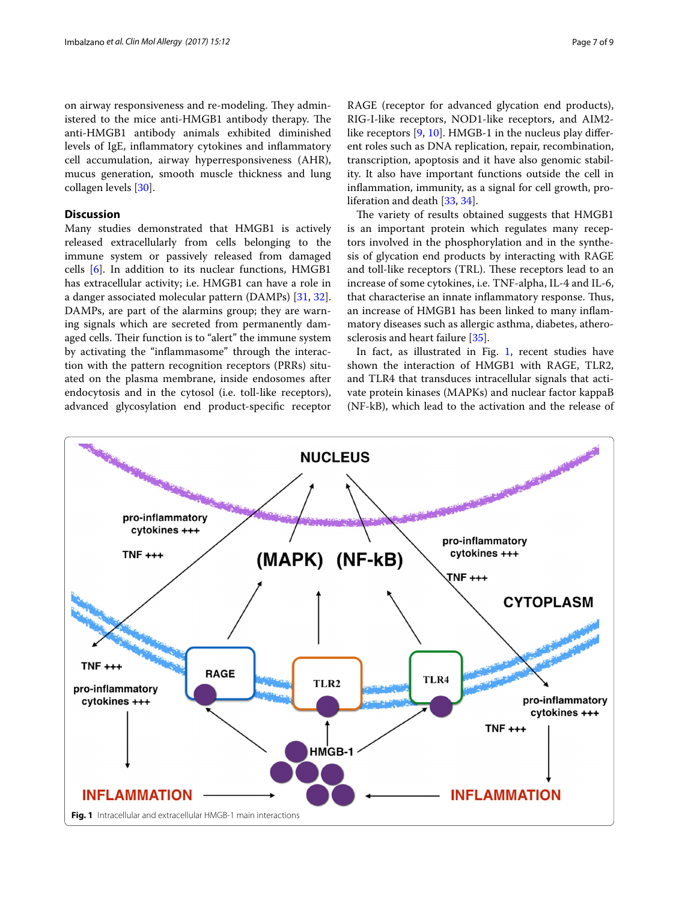on airway responsiveness and re-modeling. They administered to the mice anti-HMGB1 antibody therapy. The anti-HMGB1 antibody animals exhibited diminished levels of IgE, infammatory cytokines and infammatory cell accumulation, airway hyperresponsiveness (AHR), mucus generation, smooth muscle thickness and lung collagen levels [[30\]](#page-8-18).

# **Discussion**

Many studies demonstrated that HMGB1 is actively released extracellularly from cells belonging to the immune system or passively released from damaged cells [\[6\]](#page-7-5). In addition to its nuclear functions, HMGB1 has extracellular activity; i.e. HMGB1 can have a role in a danger associated molecular pattern (DAMPs) [[31](#page-8-19), [32](#page-8-20)]. DAMPs, are part of the alarmins group; they are warning signals which are secreted from permanently damaged cells. Their function is to "alert" the immune system by activating the "inflammasome" through the interaction with the pattern recognition receptors (PRRs) situated on the plasma membrane, inside endosomes after endocytosis and in the cytosol (i.e. toll-like receptors), advanced glycosylation end product-specifc receptor

RAGE (receptor for advanced glycation end products), RIG-I-like receptors, NOD1-like receptors, and AIM2like receptors  $[9, 10]$  $[9, 10]$  $[9, 10]$  $[9, 10]$ . HMGB-1 in the nucleus play different roles such as DNA replication, repair, recombination, transcription, apoptosis and it have also genomic stabil‑ ity. It also have important functions outside the cell in inflammation, immunity, as a signal for cell growth, proliferation and death [[33,](#page-8-21) [34](#page-8-22)].

The variety of results obtained suggests that HMGB1 is an important protein which regulates many receptors involved in the phosphorylation and in the synthesis of glycation end products by interacting with RAGE and toll-like receptors (TRL). These receptors lead to an increase of some cytokines, i.e. TNF-alpha, IL-4 and IL-6, that characterise an innate inflammatory response. Thus, an increase of HMGB1 has been linked to many inflammatory diseases such as allergic asthma, diabetes, atherosclerosis and heart failure [\[35](#page-8-23)].

In fact, as illustrated in Fig. [1,](#page-6-0) recent studies have shown the interaction of HMGB1 with RAGE, TLR2, and TLR4 that transduces intracellular signals that activate protein kinases (MAPKs) and nuclear factor kappaB (NF-kB), which lead to the activation and the release of

<span id="page-6-0"></span>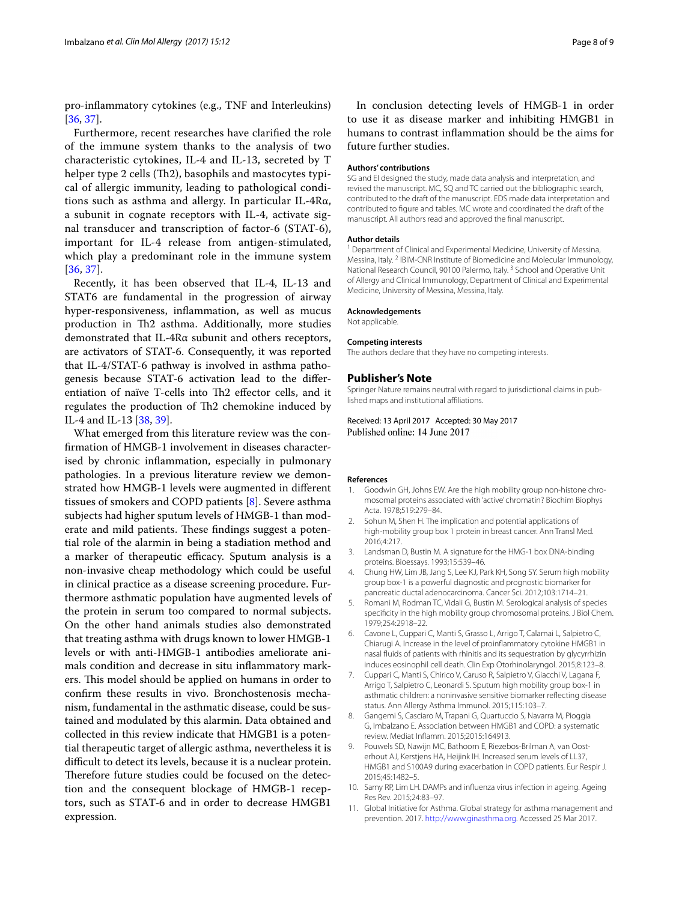pro-infammatory cytokines (e.g., TNF and Interleukins) [[36,](#page-8-24) [37](#page-8-25)].

Furthermore, recent researches have clarifed the role of the immune system thanks to the analysis of two characteristic cytokines, IL-4 and IL-13, secreted by T helper type 2 cells (Th2), basophils and mastocytes typical of allergic immunity, leading to pathological conditions such as asthma and allergy. In particular IL-4Rα, a subunit in cognate receptors with IL-4, activate signal transducer and transcription of factor-6 (STAT-6), important for IL-4 release from antigen-stimulated, which play a predominant role in the immune system [[36](#page-8-24), [37\]](#page-8-25).

Recently, it has been observed that IL-4, IL-13 and STAT6 are fundamental in the progression of airway hyper-responsiveness, infammation, as well as mucus production in Th<sub>2</sub> asthma. Additionally, more studies demonstrated that IL-4Rα subunit and others receptors, are activators of STAT-6. Consequently, it was reported that IL-4/STAT-6 pathway is involved in asthma pathogenesis because STAT-6 activation lead to the differentiation of naïve T-cells into Th2 effector cells, and it regulates the production of Th2 chemokine induced by IL-4 and IL-13 [[38,](#page-8-26) [39\]](#page-8-27).

What emerged from this literature review was the confirmation of HMGB-1 involvement in diseases characterised by chronic infammation, especially in pulmonary pathologies. In a previous literature review we demonstrated how HMGB-1 levels were augmented in diferent tissues of smokers and COPD patients [[8\]](#page-7-10). Severe asthma subjects had higher sputum levels of HMGB-1 than moderate and mild patients. These findings suggest a potential role of the alarmin in being a stadiation method and a marker of therapeutic efficacy. Sputum analysis is a non-invasive cheap methodology which could be useful in clinical practice as a disease screening procedure. Furthermore asthmatic population have augmented levels of the protein in serum too compared to normal subjects. On the other hand animals studies also demonstrated that treating asthma with drugs known to lower HMGB-1 levels or with anti-HMGB-1 antibodies ameliorate ani‑ mals condition and decrease in situ inflammatory markers. This model should be applied on humans in order to confirm these results in vivo. Bronchostenosis mechanism, fundamental in the asthmatic disease, could be sustained and modulated by this alarmin. Data obtained and collected in this review indicate that HMGB1 is a potential therapeutic target of allergic asthma, nevertheless it is difficult to detect its levels, because it is a nuclear protein. Therefore future studies could be focused on the detection and the consequent blockage of HMGB-1 receptors, such as STAT-6 and in order to decrease HMGB1 expression.

In conclusion detecting levels of HMGB-1 in order to use it as disease marker and inhibiting HMGB1 in humans to contrast infammation should be the aims for future further studies.

### **Authors' contributions**

SG and EI designed the study, made data analysis and interpretation, and revised the manuscript. MC, SQ and TC carried out the bibliographic search, contributed to the draft of the manuscript. EDS made data interpretation and contributed to fgure and tables. MC wrote and coordinated the draft of the manuscript. All authors read and approved the fnal manuscript.

### **Author details**

<sup>1</sup> Department of Clinical and Experimental Medicine, University of Messina, Messina, Italy. <sup>2</sup> IBIM-CNR Institute of Biomedicine and Molecular Immunology, National Research Council, 90100 Palermo, Italy.<sup>3</sup> School and Operative Unit of Allergy and Clinical Immunology, Department of Clinical and Experimental Medicine, University of Messina, Messina, Italy.

### **Acknowledgements**

Not applicable.

### **Competing interests**

The authors declare that they have no competing interests.

### **Publisher's Note**

Springer Nature remains neutral with regard to jurisdictional claims in published maps and institutional afliations.

Received: 13 April 2017 Accepted: 30 May 2017 Published online: 14 June 2017

### **References**

- <span id="page-7-0"></span>1. Goodwin GH, Johns EW. Are the high mobility group non-histone chromosomal proteins associated with 'active' chromatin? Biochim Biophys Acta. 1978;519:279–84.
- <span id="page-7-1"></span>2. Sohun M, Shen H. The implication and potential applications of high-mobility group box 1 protein in breast cancer. Ann Transl Med. 2016;4:217.
- <span id="page-7-2"></span>3. Landsman D, Bustin M. A signature for the HMG-1 box DNA-binding proteins. Bioessays. 1993;15:539–46.
- <span id="page-7-3"></span>4. Chung HW, Lim JB, Jang S, Lee KJ, Park KH, Song SY. Serum high mobility group box-1 is a powerful diagnostic and prognostic biomarker for pancreatic ductal adenocarcinoma. Cancer Sci. 2012;103:1714–21.
- <span id="page-7-4"></span>5. Romani M, Rodman TC, Vidali G, Bustin M. Serological analysis of species specifcity in the high mobility group chromosomal proteins. J Biol Chem. 1979;254:2918–22.
- <span id="page-7-5"></span>6. Cavone L, Cuppari C, Manti S, Grasso L, Arrigo T, Calamai L, Salpietro C, Chiarugi A. Increase in the level of proinfammatory cytokine HMGB1 in nasal fuids of patients with rhinitis and its sequestration by glycyrrhizin induces eosinophil cell death. Clin Exp Otorhinolaryngol. 2015;8:123–8.
- <span id="page-7-8"></span>7. Cuppari C, Manti S, Chirico V, Caruso R, Salpietro V, Giacchi V, Lagana F, Arrigo T, Salpietro C, Leonardi S. Sputum high mobility group box-1 in asthmatic children: a noninvasive sensitive biomarker refecting disease status. Ann Allergy Asthma Immunol. 2015;115:103–7.
- <span id="page-7-10"></span>8. Gangemi S, Casciaro M, Trapani G, Quartuccio S, Navarra M, Pioggia G, Imbalzano E. Association between HMGB1 and COPD: a systematic review. Mediat Infamm. 2015;2015:164913.
- <span id="page-7-9"></span>9. Pouwels SD, Nawijn MC, Bathoorn E, Riezebos-Brilman A, van Oosterhout AJ, Kerstjens HA, Heijink IH. Increased serum levels of LL37, HMGB1 and S100A9 during exacerbation in COPD patients. Eur Respir J. 2015;45:1482–5.
- <span id="page-7-6"></span>10. Samy RP, Lim LH. DAMPs and infuenza virus infection in ageing. Ageing Res Rev. 2015;24:83–97.
- <span id="page-7-7"></span>11. Global Initiative for Asthma. Global strategy for asthma management and prevention. 2017. [http://www.ginasthma.org.](http://www.ginasthma.org) Accessed 25 Mar 2017.